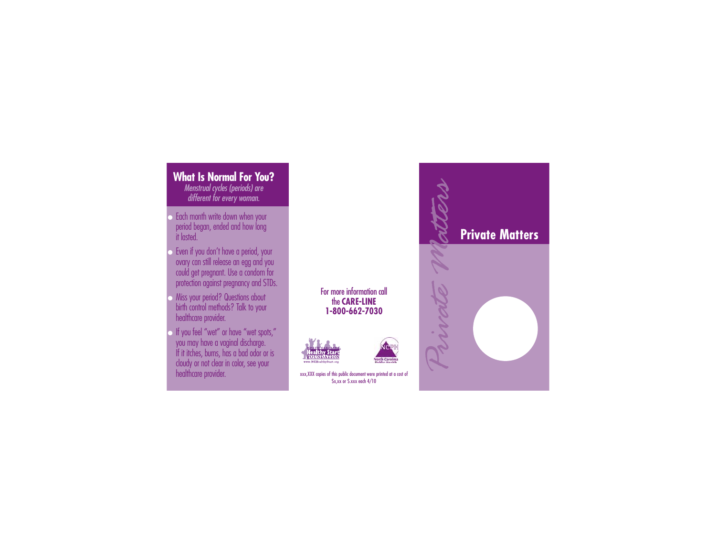## xxx,XXX copies of this public document were printed at a cost of \$x,xx or \$.xxx each 4/10 **What Is Normal For You?**Menstrual cycles (periods) are different for every woman. ● Each month write down when your period began, ended and how long it lasted.● Even if you don't have a period, your ovary can still release an egg and you could get pregnant. Use a condom for protection against pregnancy and STDs. ● Miss your period? Questions about birth control methods? Talk to your healthcare provider. ● If you feel "wet" or have "wet spots," you may have a vaginal discharge. If it itches, burns, has a bad odor or is cloudy or not clear in color, see your healthcare provider. **Private Matters**<br> **Private Matters**<br> **Private Matters**<br> **Private Matters**<br> **Private Matters**<br> **Private Matters**<br> **Private Matters**